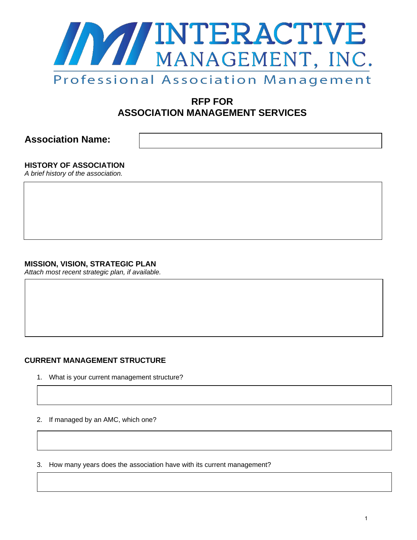

# **RFP FOR ASSOCIATION MANAGEMENT SERVICES**

**Association Name:** 

**HISTORY OF ASSOCIATION** 

*A brief history of the association.* 

# **MISSION, VISION, STRATEGIC PLAN**

*Attach most recent strategic plan, if available.* 

# **CURRENT MANAGEMENT STRUCTURE**

- 1. What is your current management structure?
- 2. If managed by an AMC, which one?

3. How many years does the association have with its current management?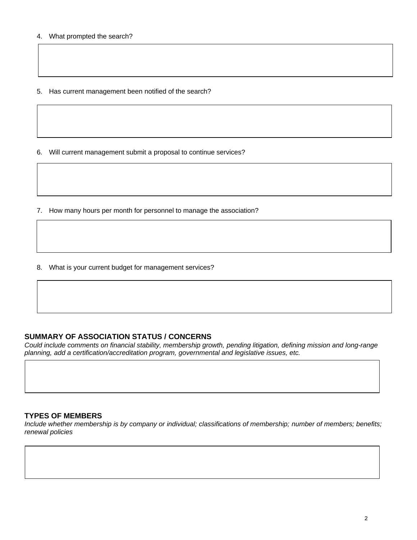5. Has current management been notified of the search?

6. Will current management submit a proposal to continue services?

7. How many hours per month for personnel to manage the association?

8. What is your current budget for management services?

## **SUMMARY OF ASSOCIATION STATUS / CONCERNS**

*Could include comments on financial stability, membership growth, pending litigation, defining mission and long-range planning, add a certification/accreditation program, governmental and legislative issues, etc.* 

### **TYPES OF MEMBERS**

*Include whether membership is by company or individual; classifications of membership; number of members; benefits; renewal policies*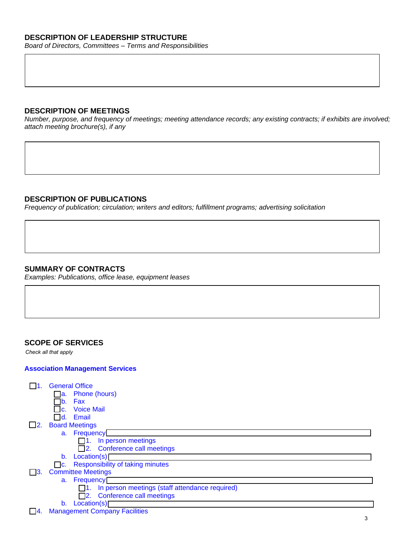# **DESCRIPTION OF LEADERSHIP STRUCTURE**

*Board of Directors, Committees – Terms and Responsibilities* 

#### **DESCRIPTION OF MEETINGS**

*Number, purpose, and frequency of meetings; meeting attendance records; any existing contracts; if exhibits are involved; attach meeting brochure(s), if any* 

## **DESCRIPTION OF PUBLICATIONS**

*Frequency of publication; circulation; writers and editors; fulfillment programs; advertising solicitation* 

## **SUMMARY OF CONTRACTS**

*Examples: Publications, office lease, equipment leases* 

### **SCOPE OF SERVICES**

*Check all that apply*

#### **Association Management Services**

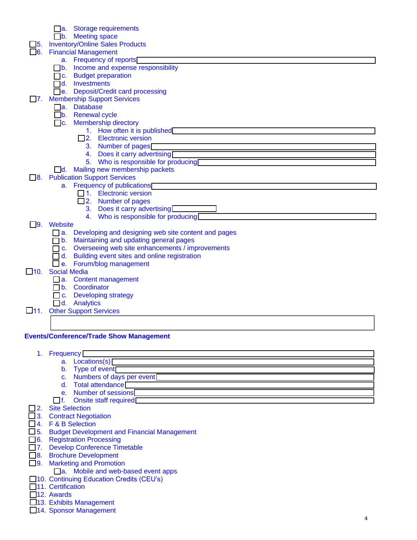- a. Storage requirements
- b. Meeting space
- □5. Inventory/Online Sales Products
- **6.** Financial Management a. Frequency of reports
	- □b. Income and expense responsibility
	- c. Budget preparation
	- d. Investments
- $\overline{\bigcap}$ e. Deposit/Credit card processing
- □7. Membership Support Services
	- a. Database
	- b. Renewal cycle
	- c. Membership directory
		- 1. How often it is published
		- □2. Electronic version
			- 3. Number of pages
			- 4. Does it carry advertising 5. Who is responsible for producing
	- **d.** Mailing new membership packets
- **□8.** Publication Support Services
	- a. Frequency of publications<sup></sup>
		- 1. Electronic version
		- 2. Number of pages
			- 3. Does it carry advertising
			- 4. Who is responsible for producing

#### 9. Website

- □ a. Developing and designing web site content and pages
- $\overline{\Box}$  b. Maintaining and updating general pages
- c. Overseeing web site enhancements / improvements
- d. Building event sites and online registration
- e. Forum/blog management
- □10. Social Media
	- a. Content management
	- b. Coordinator
	- c. Developing strategy
	- d. Analytics
- □11. Other Support Services
	-

### **Events/Conference/Trade Show Management**

- 1. Frequency
	- a. Locations(s)
	- b. Type of event
	- c. Numbers of days per event
	- d. Total attendance
	- e. Number of sessions
	- $\Box$  f. Onsite staff required  $\Box$
- □2. Site Selection
- 3. Contract Negotiation
- 4. F & B Selection
- 5. Budget Development and Financial Management
- 6. Registration Processing
- 7. Develop Conference Timetable
- 8. Brochure Development
- □9. Marketing and Promotion
	- **□a.** Mobile and web-based event apps
- □10. Continuing Education Credits (CEU's)
- □11. Certification
- □12. Awards
- □13. Exhibits Management
- □14. Sponsor Management